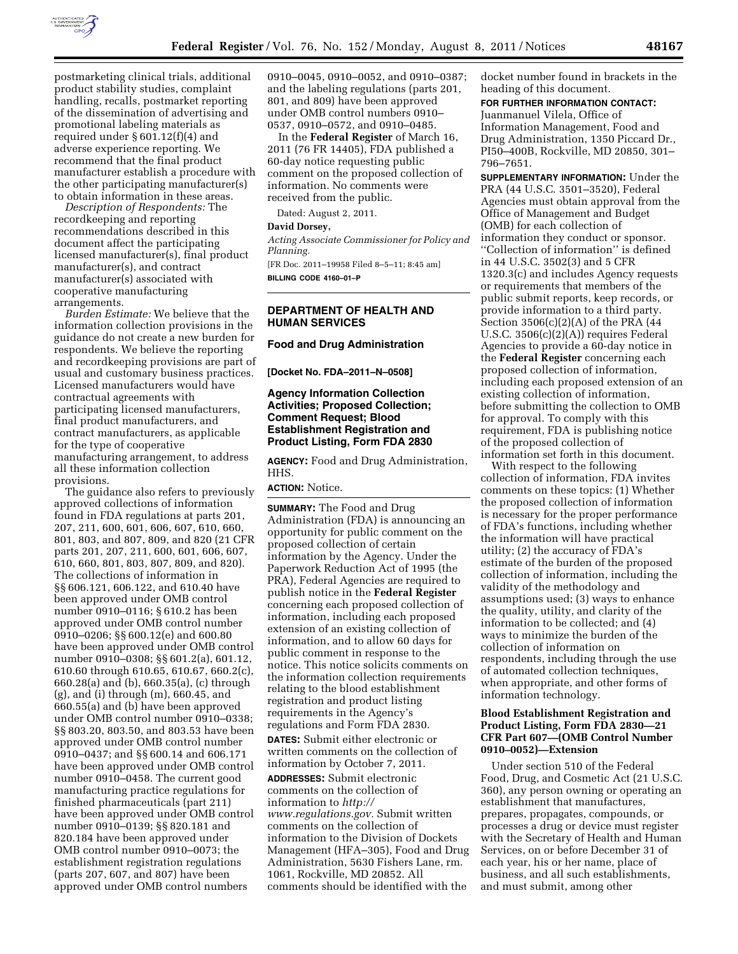

postmarketing clinical trials, additional product stability studies, complaint handling, recalls, postmarket reporting of the dissemination of advertising and promotional labeling materials as required under § 601.12(f)(4) and adverse experience reporting. We recommend that the final product manufacturer establish a procedure with the other participating manufacturer(s) to obtain information in these areas.

*Description of Respondents:* The recordkeeping and reporting recommendations described in this document affect the participating licensed manufacturer(s), final product manufacturer(s), and contract manufacturer(s) associated with cooperative manufacturing arrangements.

*Burden Estimate:* We believe that the information collection provisions in the guidance do not create a new burden for respondents. We believe the reporting and recordkeeping provisions are part of usual and customary business practices. Licensed manufacturers would have contractual agreements with participating licensed manufacturers, final product manufacturers, and contract manufacturers, as applicable for the type of cooperative manufacturing arrangement, to address all these information collection provisions.

The guidance also refers to previously approved collections of information found in FDA regulations at parts 201, 207, 211, 600, 601, 606, 607, 610, 660, 801, 803, and 807, 809, and 820 (21 CFR parts 201, 207, 211, 600, 601, 606, 607, 610, 660, 801, 803, 807, 809, and 820). The collections of information in §§ 606.121, 606.122, and 610.40 have been approved under OMB control number 0910–0116; § 610.2 has been approved under OMB control number 0910–0206; §§ 600.12(e) and 600.80 have been approved under OMB control number 0910–0308; §§ 601.2(a), 601.12, 610.60 through 610.65, 610.67, 660.2(c), 660.28(a) and (b), 660.35(a), (c) through (g), and (i) through (m), 660.45, and 660.55(a) and (b) have been approved under OMB control number 0910–0338; §§ 803.20, 803.50, and 803.53 have been approved under OMB control number 0910–0437; and §§ 600.14 and 606.171 have been approved under OMB control number 0910–0458. The current good manufacturing practice regulations for finished pharmaceuticals (part 211) have been approved under OMB control number 0910–0139; §§ 820.181 and 820.184 have been approved under OMB control number 0910–0073; the establishment registration regulations (parts 207, 607, and 807) have been approved under OMB control numbers

0910–0045, 0910–0052, and 0910–0387; and the labeling regulations (parts 201, 801, and 809) have been approved under OMB control numbers 0910– 0537, 0910–0572, and 0910–0485.

In the **Federal Register** of March 16, 2011 (76 FR 14405), FDA published a 60-day notice requesting public comment on the proposed collection of information. No comments were received from the public.

Dated: August 2, 2011.

#### **David Dorsey,**

*Acting Associate Commissioner for Policy and Planning.* 

[FR Doc. 2011–19958 Filed 8–5–11; 8:45 am] **BILLING CODE 4160–01–P** 

## **DEPARTMENT OF HEALTH AND HUMAN SERVICES**

#### **Food and Drug Administration**

**[Docket No. FDA–2011–N–0508]** 

### **Agency Information Collection Activities; Proposed Collection; Comment Request; Blood Establishment Registration and Product Listing, Form FDA 2830**

**AGENCY:** Food and Drug Administration, HHS.

#### **ACTION:** Notice.

**SUMMARY:** The Food and Drug Administration (FDA) is announcing an opportunity for public comment on the proposed collection of certain information by the Agency. Under the Paperwork Reduction Act of 1995 (the PRA), Federal Agencies are required to publish notice in the **Federal Register**  concerning each proposed collection of information, including each proposed extension of an existing collection of information, and to allow 60 days for public comment in response to the notice. This notice solicits comments on the information collection requirements relating to the blood establishment registration and product listing requirements in the Agency's regulations and Form FDA 2830. **DATES:** Submit either electronic or written comments on the collection of

information by October 7, 2011. **ADDRESSES:** Submit electronic comments on the collection of information to *[http://](http://www.regulations.gov) [www.regulations.gov.](http://www.regulations.gov)* Submit written comments on the collection of information to the Division of Dockets Management (HFA–305), Food and Drug Administration, 5630 Fishers Lane, rm. 1061, Rockville, MD 20852. All comments should be identified with the

docket number found in brackets in the heading of this document.

# **FOR FURTHER INFORMATION CONTACT:**

Juanmanuel Vilela, Office of Information Management, Food and Drug Administration, 1350 Piccard Dr., PI50–400B, Rockville, MD 20850, 301– 796–7651.

**SUPPLEMENTARY INFORMATION:** Under the PRA (44 U.S.C. 3501–3520), Federal Agencies must obtain approval from the Office of Management and Budget (OMB) for each collection of information they conduct or sponsor. ''Collection of information'' is defined in 44 U.S.C. 3502(3) and 5 CFR 1320.3(c) and includes Agency requests or requirements that members of the public submit reports, keep records, or provide information to a third party. Section 3506(c)(2)(A) of the PRA (44 U.S.C. 3506(c)(2)(A)) requires Federal Agencies to provide a 60-day notice in the **Federal Register** concerning each proposed collection of information, including each proposed extension of an existing collection of information, before submitting the collection to OMB for approval. To comply with this requirement, FDA is publishing notice of the proposed collection of information set forth in this document.

With respect to the following collection of information, FDA invites comments on these topics: (1) Whether the proposed collection of information is necessary for the proper performance of FDA's functions, including whether the information will have practical utility; (2) the accuracy of FDA's estimate of the burden of the proposed collection of information, including the validity of the methodology and assumptions used; (3) ways to enhance the quality, utility, and clarity of the information to be collected; and (4) ways to minimize the burden of the collection of information on respondents, including through the use of automated collection techniques, when appropriate, and other forms of information technology.

#### **Blood Establishment Registration and Product Listing, Form FDA 2830—21 CFR Part 607—(OMB Control Number 0910–0052)—Extension**

Under section 510 of the Federal Food, Drug, and Cosmetic Act (21 U.S.C. 360), any person owning or operating an establishment that manufactures, prepares, propagates, compounds, or processes a drug or device must register with the Secretary of Health and Human Services, on or before December 31 of each year, his or her name, place of business, and all such establishments, and must submit, among other